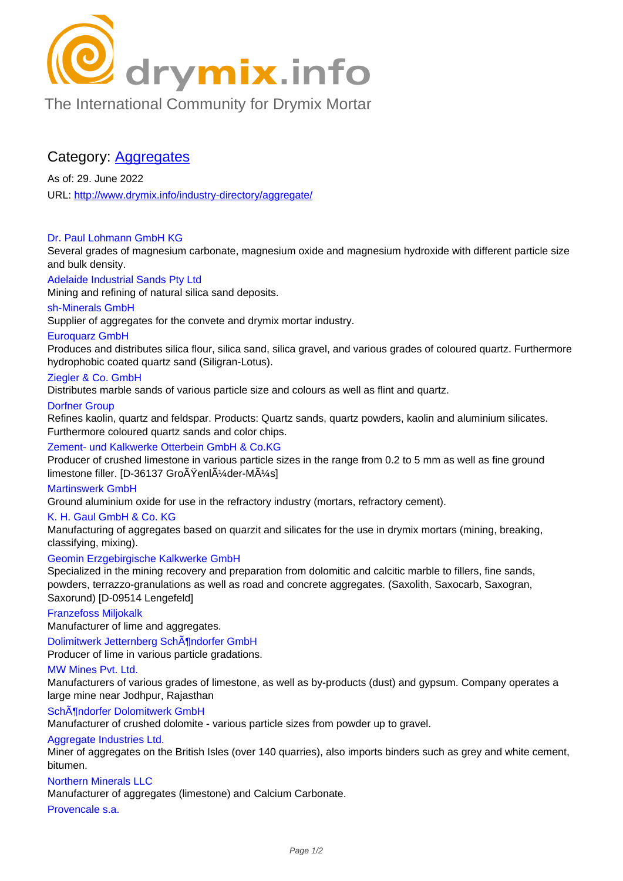

[The International Community for Drymix Mortar](/industry-directory/)

# Category: Aggregates

As of: 29. June 2022 URL: http://www.drymix.info/industry-directory/aggregate/

#### Dr. Paul Lohmann GmbH KG

Seve[ral grades of magnesium carbonate, magnesium oxid](http://www.drymix.info/industry-directory/aggregate/)e and magnesium hydroxide with different particle size and bulk density.

### Adelaide Industrial Sands Pty Ltd

Mining and refining of natural silica sand deposits.

### sh-Minerals GmbH

Supplier of aggregates for the convete and drymix mortar industry.

### Euroquarz GmbH

Produces and distributes silica flour, silica sand, silica gravel, and various grades of coloured quartz. Furthermore hydrophobic coated quartz sand (Siligran-Lotus).

#### Ziegler & Co. GmbH

Distributes marble sands of various particle size and colours as well as flint and quartz.

### Dorfner Group

Refines kaolin, quartz and feldspar. Products: Quartz sands, quartz powders, kaolin and aluminium silicates. Furthermore coloured quartz sands and color chips.

#### Zement- und Kalkwerke Otterbein GmbH & Co.KG

Producer of crushed limestone in various particle sizes in the range from 0.2 to 5 mm as well as fine ground limestone filler. [D-36137 Groğenlļder-Müs]

#### Martinswerk GmbH

Ground aluminium oxide for use in the refractory industry (mortars, refractory cement).

#### K. H. Gaul GmbH & Co. KG

Manufacturing of aggregates based on quarzit and silicates for the use in drymix mortars (mining, breaking, classifying, mixing).

## Geomin Erzgebirgische Kalkwerke GmbH

Specialized in the mining recovery and preparation from dolomitic and calcitic marble to fillers, fine sands, powders, terrazzo-granulations as well as road and concrete aggregates. (Saxolith, Saxocarb, Saxogran, Saxorund) [D-09514 Lengefeld]

#### Franzefoss Miljokalk

Manufacturer of lime and aggregates.

### Dolimitwerk Jetternberg SchĶndorfer GmbH

Producer of lime in various particle gradations.

#### MW Mines Pvt. Ltd.

Manufacturers of various grades of limestone, as well as by-products (dust) and gypsum. Company operates a large mine near Jodhpur, Rajasthan

#### SchĶndorfer Dolomitwerk GmbH

Manufacturer of crushed dolomite - various particle sizes from powder up to gravel.

#### Aggregate Industries Ltd.

Miner of aggregates on the British Isles (over 140 quarries), also imports binders such as grey and white cement, bitumen.

#### Northern Minerals LLC

Manufacturer of aggregates (limestone) and Calcium Carbonate.

#### Provencale s.a.